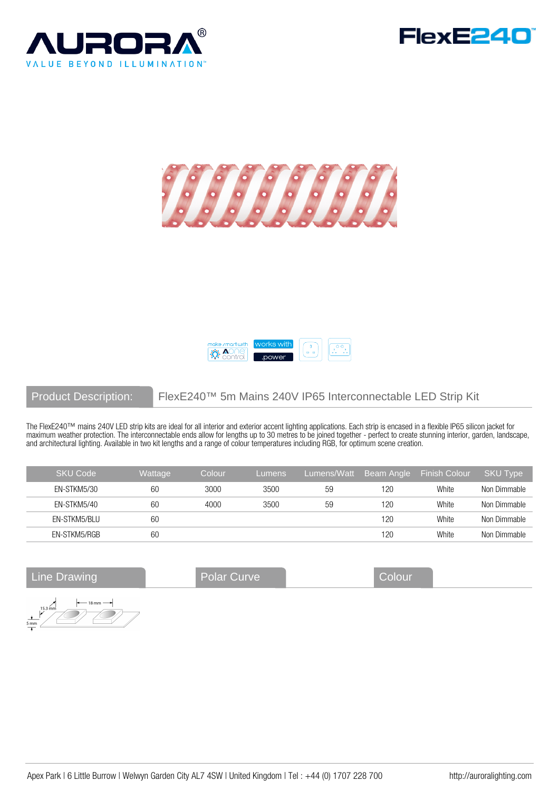







# Product Description: FlexE240™ 5m Mains 240V IP65 Interconnectable LED Strip Kit

The FlexE240™ mains 240V LED strip kits are ideal for all interior and exterior accent lighting applications. Each strip is encased in a flexible IP65 silicon jacket for maximum weather protection. The interconnectable ends allow for lengths up to 30 metres to be joined together - perfect to create stunning interior, garden, landscape, and architectural lighting. Available in two kit lengths and a range of colour temperatures including RGB, for optimum scene creation.

| <b>SKU Code</b> | Wattage | Colour | Lumens | Lumens/Watt | Beam Angle | <b>Finish Colour</b> | <b>SKU Type</b> |
|-----------------|---------|--------|--------|-------------|------------|----------------------|-----------------|
| EN-STKM5/30     | 60      | 3000   | 3500   | 59          | 120        | White                | Non Dimmable    |
| EN-STKM5/40     | 60      | 4000   | 3500   | 59          | 120        | White                | Non Dimmable    |
| EN-STKM5/BLU    | 60      |        |        |             | 120        | White                | Non Dimmable    |
| EN-STKM5/RGB    | 60      |        |        |             | 120        | White                | Non Dimmable    |

Line Drawing **Colour** Polar Curve **Colour** 

 $-18 \,\mathrm{mm} 15.3 \, \text{mm}$